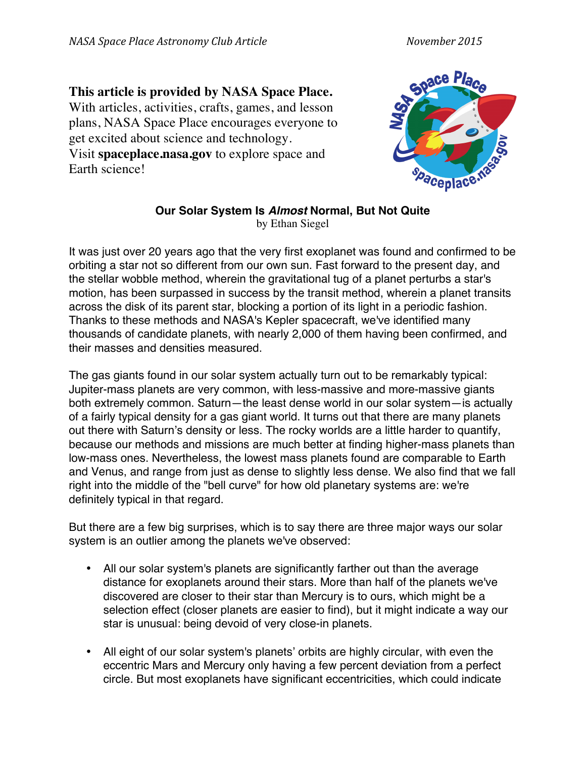## **This article is provided by NASA Space Place.**

With articles, activities, crafts, games, and lesson plans, NASA Space Place encourages everyone to get excited about science and technology. Visit **spaceplace.nasa.gov** to explore space and Earth science!



## **Our Solar System Is** *Almost* **Normal, But Not Quite** by Ethan Siegel

It was just over 20 years ago that the very first exoplanet was found and confirmed to be orbiting a star not so different from our own sun. Fast forward to the present day, and the stellar wobble method, wherein the gravitational tug of a planet perturbs a star's motion, has been surpassed in success by the transit method, wherein a planet transits across the disk of its parent star, blocking a portion of its light in a periodic fashion. Thanks to these methods and NASA's Kepler spacecraft, we've identified many thousands of candidate planets, with nearly 2,000 of them having been confirmed, and their masses and densities measured.

The gas giants found in our solar system actually turn out to be remarkably typical: Jupiter-mass planets are very common, with less-massive and more-massive giants both extremely common. Saturn—the least dense world in our solar system—is actually of a fairly typical density for a gas giant world. It turns out that there are many planets out there with Saturn's density or less. The rocky worlds are a little harder to quantify, because our methods and missions are much better at finding higher-mass planets than low-mass ones. Nevertheless, the lowest mass planets found are comparable to Earth and Venus, and range from just as dense to slightly less dense. We also find that we fall right into the middle of the "bell curve" for how old planetary systems are: we're definitely typical in that regard.

But there are a few big surprises, which is to say there are three major ways our solar system is an outlier among the planets we've observed:

- All our solar system's planets are significantly farther out than the average distance for exoplanets around their stars. More than half of the planets we've discovered are closer to their star than Mercury is to ours, which might be a selection effect (closer planets are easier to find), but it might indicate a way our star is unusual: being devoid of very close-in planets.
- All eight of our solar system's planets' orbits are highly circular, with even the eccentric Mars and Mercury only having a few percent deviation from a perfect circle. But most exoplanets have significant eccentricities, which could indicate